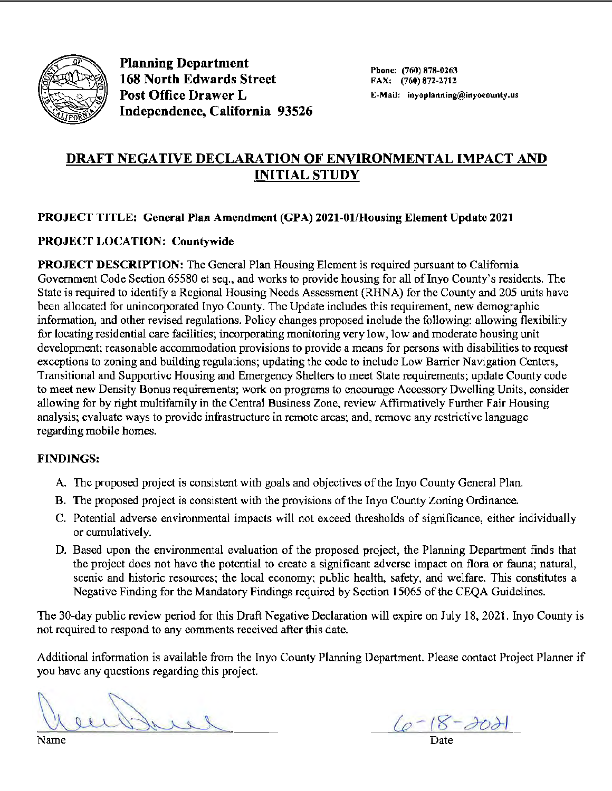

Planning Department 168 North Edwards Street Post Office Drawer L Independence, California 93526

Phone: (760) 878-0263 FAX: (760) 872-2712 E-Mail: inyoplanning@inyocounty.us

## **DRAFT NEGATIVE DECLARATION OF ENVIRONMENTAL IMPACT AND INITIAL STUDY**

### **PROJECT TITLE: General Plan Amendment (GPA) 2021-01/Housing Element Update 2021**

### **PROJECT LOCATION: Countywide**

**PROJECT DESCRIPTION:** The General Plan Housing Element is required pursuant to California Government Code Section 65580 et seq., and works to provide housing for all of Inyo County's residents. The State is required to identify a Regional Housing Needs Assessment (RHNA) for the County and 205 units have been allocated for unincorporated Inyo County. The Update includes this requirement, new demographic information, and other revised regulations. Policy changes proposed include the following: allowing flexibility for locating residential care facilities; incorporating monitoring very low, low and moderate housing unit development; reasonable accommodation provisions to provide a means for persons with disabilities to request exceptions to zoning and building regulations; updating the code to include Low Barrier Navigation Centers, Transitional and Supportive Housing and Emergency Shelters to meet State requirements; update County code to meet new Density Bonus requirements; work on programs to encourage Accessory Dwelling Units, consider allowing for by right multifamily in the Central Business Zone, review Affirmatively Further Fair Housing analysis; evaluate ways to provide infrastructure in remote areas; and, remove any restrictive language regarding mobile homes.

#### **FINDINGS:**

- A. The proposed project is consistent with goals and objectives of the Inyo County General Plan.
- B. The proposed project is consistent with the provisions of the Inyo County Zoning Ordinance.
- C. Potential adverse environmental impacts will not exceed thresholds of significance, either individually or cumulatively.
- D. Based upon the environmental evaluation of the proposed project, the Planning Department finds that the project does not have the potential to create a significant adverse impact on flora or fauna; natural, scenic and historic resources; the local economy; public health, safety, and welfare. This constitutes a Negative Finding for the Mandatory Findings required by Section 15065 of the CEQA Guidelines.

The 30-day public review period for this Draft Negative Declaration will expire on July 18, 2021. Inyo County is not required to respond to any comments received after this date.

Additional information is available from the Inyo County Planning Department. Please contact Project Planner if you have any questions regarding this project.

enthuse

Name Date Date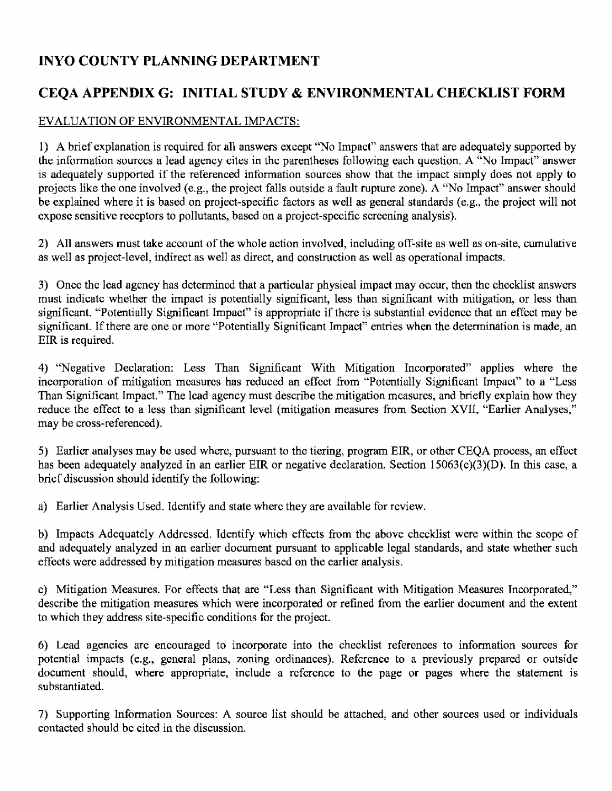## **INYO COUNTY PLANNING DEPARTMENT**

## **CEQA APPENDIX G: INITIAL STUDY & ENVIRONMENTAL CHECKLIST FORM**

### EVALUATION OF ENVIRONMENTAL IMPACTS:

1) A brief explanation is required for all answers except "No Impact" answers that are adequately supported by the information sources a lead agency cites in the parentheses following each question. A "No Impact" answer is adequately supported if the referenced information sources show that the impact simply does not apply to projects like the one involved (e.g., the project falls outside a fault rupture zone). A "No Impact" answer should be explained where it is based on project-specific factors as well as general standards (e.g., the project will not expose sensitive receptors to pollutants, based on a project-specific screening analysis).

2) All answers must take account of the whole action involved, including off-site as well as on-site, cumulative as well as project-level, indirect as well as direct, and construction as well as operational impacts.

3) Once the lead agency has determined that a particular physical impact may occur, then the checklist answers must indicate whether the impact is potentially significant, less than significant with mitigation, or less than significant. "Potentially Significant Impact" is appropriate if there is substantial evidence that an effect may be significant. If there are one or more "Potentially Significant Impact" entries when the determination is made, an EIR is required.

4) "Negative Declaration: Less Than Significant With Mitigation Incorporated" applies where the incorporation of mitigation measures has reduced an effect from "Potentially Significant Impact" to a "Less Than Significant Impact." The lead agency must describe the mitigation measures, and briefly explain how they reduce the effect to a less than significant level (mitigation measures from Section **XVII,** "Earlier Analyses," may be cross-referenced).

5) Earlier analyses may be used where, pursuant to the tiering, program EIR, or other CEQA process, an effect has been adequately analyzed in an earlier EIR or negative declaration. Section 15063(c)(3)(D). In this case, a brief discussion should identify the following:

a) Earlier Analysis Used. Identify and state where they are available for review.

b) Impacts Adequately Addressed. Identify which effects from the above checklist were within the scope of and adequately analyzed in an earlier document pursuant to applicable legal standards, and state whether such effects were addressed by mitigation measures based on the earlier analysis.

c) Mitigation Measures. For effects that are "Less than Significant with Mitigation Measures Incorporated," describe the mitigation measures which were incorporated or refined from the earlier document and the extent to which they address site-specific conditions for the project.

6) Lead agencies arc encouraged to incorporate into the checklist references to information sources for potential impacts (e.g., general plans, zoning ordinances). Reference to a previously prepared or outside document should, where appropriate, include a reference to the page or pages where the statement is substantiated.

7) Supporting Information Sources: A source list should be attached, and other sources used or individuals contacted should be cited in the discussion.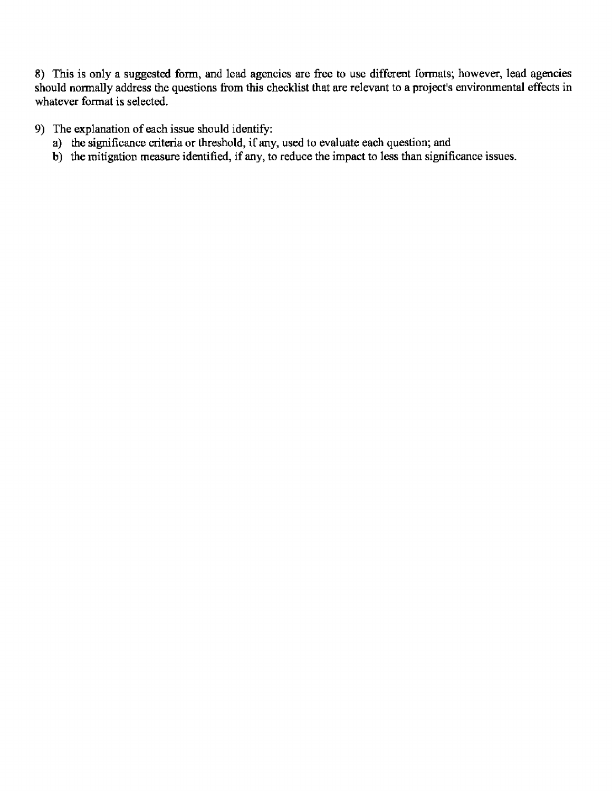8) This is only a suggested form, and lead agencies are free to use different formats; however, lead agencies should normally address the questions from this checklist that are relevant to a project's environmental effects in whatever format is selected.

9) The explanation of each issue should identify:

- a) the significance criteria or threshold, if any, used to evaluate each question; and
- b) the mitigation measure identified, if any, to reduce the impact to less than significance issues.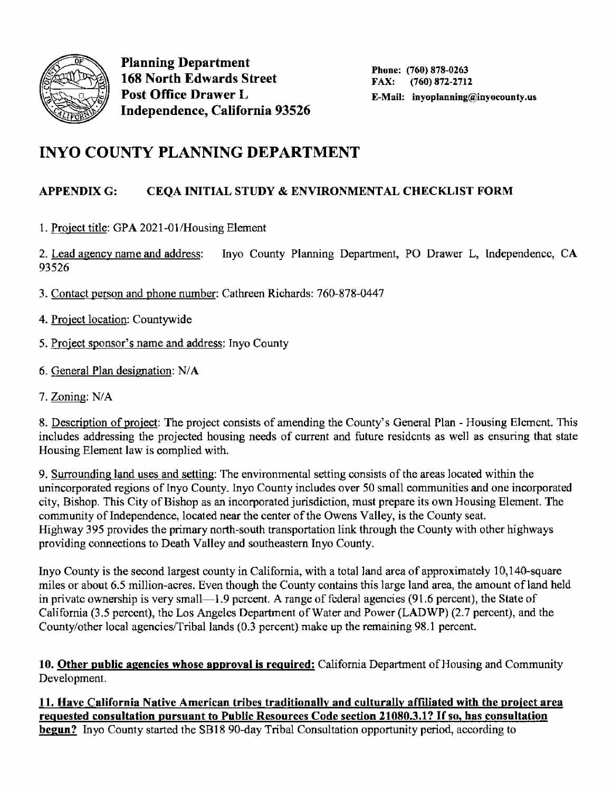

Planning Department 168 North Edwards Street Post Office Drawer L Independence, California 93526

# **INYO COUNTY PLANNING DEPARTMENT**

## **APPENDIXG: CEQA INITIAL STUDY** & **ENVIRONMENTAL CHECKLIST FORM**

1. Project title: GPA 2021-01/Housing Element

2. Lead agency name and address: Inyo County Planning Department, PO Drawer L, Independence, CA 93526

- 3. Contact person and phone number: Cathreen Richards: 760-878-0447
- 4. Project location: Countywide
- 5. Project sponsor's name and address: Inyo County
- 6. General Plan designation: N/A
- 7. Zoning: N/A

8. Description of project: The project consists of amending the County's General Plan - Housing Element. This includes addressing the projected housing needs of current and future residents as well as ensuring that state Housing Element law is complied with.

9. Surrounding land uses and setting: The environmental setting consists of the areas located within the unincorporated regions of Inyo County. Inyo County includes over 50 small communities and one incorporated city, Bishop. This City of Bishop as an incorporated jurisdiction, must prepare its own Housing Element. The community of Independence, located near the center of the Owens Valley, is the County seat. Highway 395 provides the primary north-south transportation link through the County with other highways providing connections to Death Valley and southeastern Inyo County.

Inyo County is the second largest county in California, with a total land area of approximately 10, 140-square miles or about 6.5 million-acres. Even though the County contains this large land area, the amount of land held in private ownership is very small—1.9 percent. A range of federal agencies (91.6 percent), the State of California (3.5 percent), the Los Angeles Department of Water and Power **(LADWP)** (2.7 percent), and the County/other local agencies/Tribal lands (0.3 percent) make up the remaining 98.1 percent.

**10. Other public agencies whose approval is required:** California Department of Housing and Community Development.

**11. Have California Native American tribes traditionally and culturally affiliated with the project area reg ues ted consultation pursuant to Public Resources Code section 21080.3 .1? If so, has consultation**  begun? Invo County started the SB18 90-day Tribal Consultation opportunity period, according to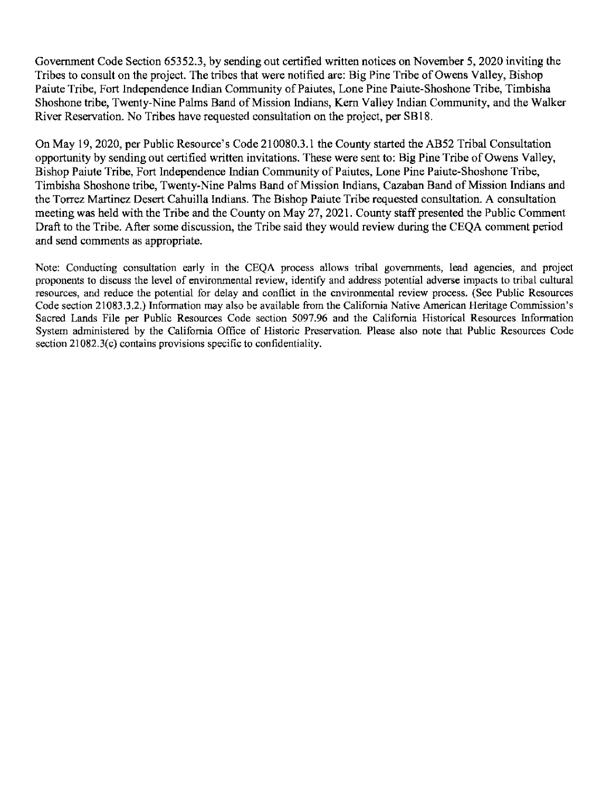Government Code Section 65352.3, by sending out certified written notices on November 5, 2020 inviting the Tribes to consult on the project. The tribes that were notified are: Big Pine Tribe of Owens Valley, Bishop Paiute Tribe, Fort Independence Indian Community of Paiutes, Lone Pine Paiute-Shoshone Tribe, Timbisha Shoshone tribe, Twenty-Nine Palms Band of Mission Indians, Kem Valley Indian Community, and the Walker River Reservation. No Tribes have requested consultation on the project, per SB 18.

On May 19, 2020, per Public Resource's Code 210080.3.1 the County started the AB52 Tribal Consultation opportunity by sending out certified written invitations. These were sent to: Big Pine Tribe of Owens Valley, Bishop Paiute Tribe, Fort Independence Indian Community of Paiutes, Lone Pine Paiute-Shoshone Tribe, Timbisha Shoshone tribe, Twenty-Nine Palms Band of Mission Indians, Cazaban Band of Mission Indians and the Torrez Martinez Desert Cahuilla Indians. The Bishop Paiute Tribe requested consultation. A consultation meeting was held with the Tribe and the County on May 27, 2021. County staff presented the Public Comment Draft to the Tribe. After some discussion, the Tribe said they would review during the CEQA comment period and send comments as appropriate.

Note: Conducting consultation early in the CEQA process allows tribal governments, lead agencies, and project proponents to discuss the level of environmental review, identify and address potential adverse impacts to tribal cultural resources, and reduce the potential for delay and conflict in the environmental review process. (See Public Resources Code section 21083.3.2.) Information may also be available from the California Native American Heritage Commission's Sacred Lands File per Public Resources Code section 5097.96 and the California Historical Resources Information System administered by the California Office of Historic Preservation. Please also note that Public Resources Code section 21082.3(c) contains provisions specific to confidentiality.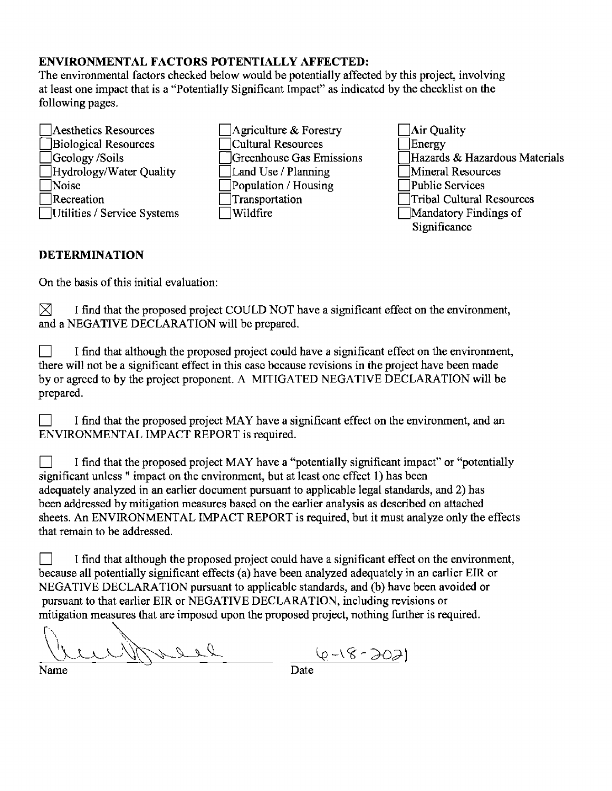### **ENVIRONMENTAL FACTORS POTENTIALLY AFFECTED:**

The environmental factors checked below would be potentially affected by this project, involving at least one impact that is a "Potentially Significant Impact" as indicated by the checklist on the following pages.

- Aesthetics Resources Biological Resources Geology /Soils Hydrology/Water Quality • Noise  $\exists$  Recreation 0Utilities / Service Systems
- Agriculture  $\&$  Forestry • Cultural Resources 0Greenhouse Gas Emissions Land Use / Planning Population / Housing Transportation  $\exists$  Wildfire
- ]Air Quality<br>]Energy Hazards & Hazardous Materials Mineral Resources<br>Public Services • Public Services • Tribal Cultural Resources • Mandatory Findings of Significance

### **DETERMINATION**

On the basis of this initial evaluation:

 $[\times]$  I find that the proposed project COULD NOT have a significant effect on the environment, and a NEGATIVE DECLARATION will be prepared.

I find that although the proposed project could have a significant effect on the environment, there will not be a significant effect in this case because revisions in the project have been made by or agreed to by the project proponent. A MITIGATED NEGATIVE DECLARATION will be prepared.

I find that the proposed project MAY have a significant effect on the environment, and an ENVIRONMENTAL IMP ACT REPORT is required.

I find that the proposed project MAY have a "potentially significant impact" or "potentially significant unless " impact on the environment, but at least one effect **1)** has been adequately analyzed in an earlier document pursuant to applicable legal standards, and 2) has been addressed by mitigation measures based on the earlier analysis as described on attached sheets. An ENVIRONMENTAL IMPACT REPORT is required, but it must analyze only the effects that remain to be addressed.

 $\Box$  I find that although the proposed project could have a significant effect on the environment, because all potentially significant effects (a) have been analyzed adequately in an earlier EIR or NEGATIVE DECLARATION pursuant to applicable standards, and (b) have been avoided or pursuant to that earlier EIR or NEGATIVE DECLARATION, including revisions or mitigation measures that arc imposed upon the proposed project, nothing further is required.

 $\sim$  - 2 d  $\frac{(1111)}{Name}$   $\frac{(e-18-303)}{Date}$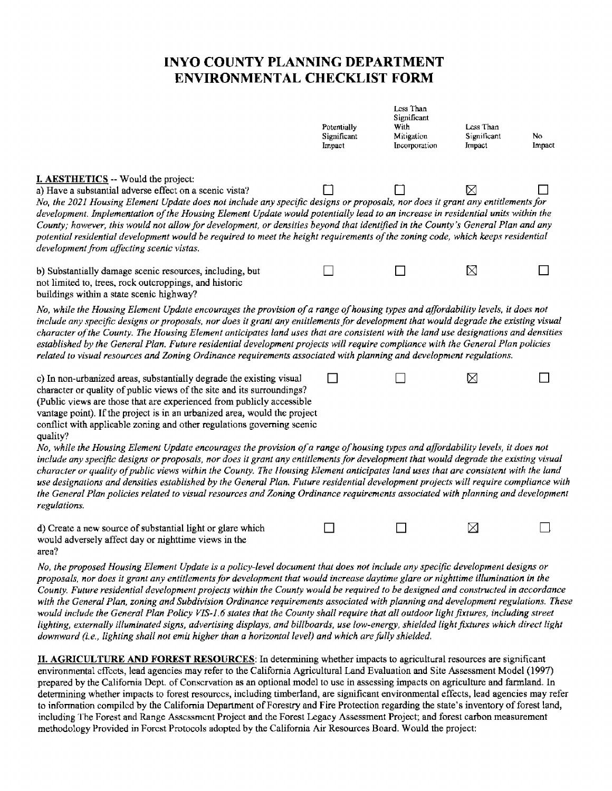## **INYO COUNTY PLANNING DEPARTMENT ENVIRONMENTAL CHECKLIST FORM**

|                                                                                                                                                                                                                                                                                                                                                                                                                                                                                                                                                                                                                                                                                                                                                                                                                                                                                                                                       | Potentially<br>Significant<br>Impact | Less Than<br>Significant<br>With<br>Mitigation<br>Incorporation | Less Than<br>Significant<br>Impact | No<br>Impact |
|---------------------------------------------------------------------------------------------------------------------------------------------------------------------------------------------------------------------------------------------------------------------------------------------------------------------------------------------------------------------------------------------------------------------------------------------------------------------------------------------------------------------------------------------------------------------------------------------------------------------------------------------------------------------------------------------------------------------------------------------------------------------------------------------------------------------------------------------------------------------------------------------------------------------------------------|--------------------------------------|-----------------------------------------------------------------|------------------------------------|--------------|
| <b>I. AESTHETICS</b> -- Would the project:<br>a) Have a substantial adverse effect on a scenic vista?<br>No, the 2021 Housing Element Update does not include any specific designs or proposals, nor does it grant any entitlements for<br>development. Implementation of the Housing Element Update would potentially lead to an increase in residential units within the<br>County; however, this would not allow for development, or densities beyond that identified in the County's General Plan and any<br>potential residential development would be required to meet the height requirements of the zoning code, which keeps residential<br>development from affecting scenic vistas.                                                                                                                                                                                                                                         |                                      |                                                                 | ⊠                                  |              |
| b) Substantially damage scenic resources, including, but<br>not limited to, trees, rock outcroppings, and historic<br>buildings within a state scenic highway?                                                                                                                                                                                                                                                                                                                                                                                                                                                                                                                                                                                                                                                                                                                                                                        |                                      |                                                                 | ⊠                                  |              |
| No, while the Housing Element Update encourages the provision of a range of housing types and affordability levels, it does not<br>include any specific designs or proposals, nor does it grant any entitlements for development that would degrade the existing visual<br>character of the County. The Housing Element anticipates land uses that are consistent with the land use designations and densities<br>established by the General Plan. Future residential development projects will require compliance with the General Plan policies<br>related to visual resources and Zoning Ordinance requirements associated with planning and development regulations.                                                                                                                                                                                                                                                              |                                      |                                                                 |                                    |              |
| c) In non-urbanized areas, substantially degrade the existing visual<br>character or quality of public views of the site and its surroundings?<br>(Public views are those that are experienced from publicly accessible<br>vantage point). If the project is in an urbanized area, would the project<br>conflict with applicable zoning and other regulations governing scenic<br>quality?                                                                                                                                                                                                                                                                                                                                                                                                                                                                                                                                            |                                      |                                                                 | X                                  |              |
| No, while the Housing Element Update encourages the provision of a range of housing types and affordability levels, it does not<br>include any specific designs or proposals, nor does it grant any entitlements for development that would degrade the existing visual<br>character or quality of public views within the County. The Housing Element anticipates land uses that are consistent with the land<br>use designations and densities established by the General Plan. Future residential development projects will require compliance with<br>the General Plan policies related to visual resources and Zoning Ordinance requirements associated with planning and development<br>regulations.                                                                                                                                                                                                                            |                                      |                                                                 |                                    |              |
| d) Create a new source of substantial light or glare which<br>would adversely affect day or nighttime views in the<br>area?                                                                                                                                                                                                                                                                                                                                                                                                                                                                                                                                                                                                                                                                                                                                                                                                           |                                      |                                                                 | ⊠                                  |              |
| No, the proposed Housing Element Update is a policy-level document that does not include any specific development designs or<br>proposals, nor does it grant any entitlements for development that would increase daytime glare or nighttime illumination in the<br>County. Future residential development projects within the County would be required to be designed and constructed in accordance<br>with the General Plan, zoning and Subdivision Ordinance requirements associated with planning and development regulations. These<br>would include the General Plan Policy VIS-1.6 states that the County shall require that all outdoor light fixtures, including street<br>lighting, externally illuminated signs, advertising displays, and billboards, use low-energy, shielded light fixtures which direct light<br>downward (i.e., lighting shall not emit higher than a horizontal level) and which are fully shielded. |                                      |                                                                 |                                    |              |

II. **AGRICULTURE AND FOREST RESOURCES:** In determining whether impacts to agricultural resources are significant environmental cffccts, lead agencies may refer to the California Agricultural Land Evaluation and Site Assessment Model (1997) prepared by the California Dept. of Conservation as an optional model to use in assessing impacts on agriculture and farmland. In detennining whether impacts to forest resources, including timberland, are significant environmental effects, lead agencies may refer to information compiled by the California Department of Forestry and Fire Protection regarding the state's inventory of forest land, including The Forest and Range Assessment Project and the Forest Legacy Assessment Project; and forest carbon measurement methodology Provided in Forest Protocols adopted by the California Air Resources Board. Would the project: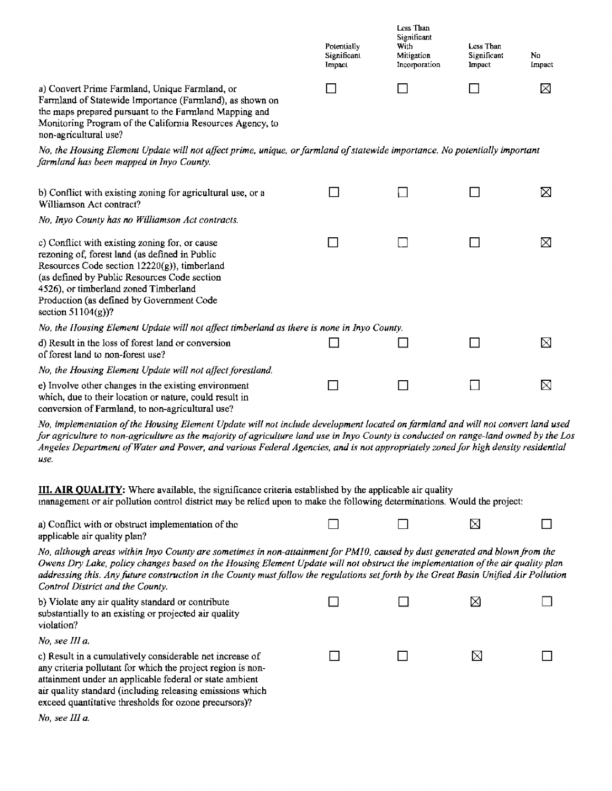|                                                                                                                                                                                                                                                                                                                                                                                                                                             | Potentially<br>Significant<br>Impact | Less Than<br>Significant<br>With<br>Mitigation<br>Incorporation | Less Than<br>Significant<br><b>Impact</b> | No<br>Impact |
|---------------------------------------------------------------------------------------------------------------------------------------------------------------------------------------------------------------------------------------------------------------------------------------------------------------------------------------------------------------------------------------------------------------------------------------------|--------------------------------------|-----------------------------------------------------------------|-------------------------------------------|--------------|
| a) Convert Prime Farmland, Unique Farmland, or<br>Farmland of Statewide Importance (Farmland), as shown on<br>the maps prepared pursuant to the Farmland Mapping and<br>Monitoring Program of the California Resources Agency, to<br>non-agricultural use?                                                                                                                                                                                  |                                      |                                                                 |                                           | ⊠            |
| No, the Housing Element Update will not affect prime, unique, or farmland of statewide importance. No potentially important<br>farmland has been mapped in Inyo County.                                                                                                                                                                                                                                                                     |                                      |                                                                 |                                           |              |
| b) Conflict with existing zoning for agricultural use, or a<br>Williamson Act contract?                                                                                                                                                                                                                                                                                                                                                     |                                      |                                                                 |                                           | ⊠            |
| No, Inyo County has no Williamson Act contracts.                                                                                                                                                                                                                                                                                                                                                                                            |                                      |                                                                 |                                           |              |
| c) Conflict with existing zoning for, or cause<br>rezoning of, forest land (as defined in Public<br>Resources Code section $12220(g)$ , timberland<br>(as defined by Public Resources Code section<br>4526), or timberland zoned Timberland<br>Production (as defined by Government Code<br>section $51104(g)$ ?                                                                                                                            |                                      |                                                                 |                                           | ⊠            |
| No, the Housing Element Update will not affect timberland as there is none in Inyo County.                                                                                                                                                                                                                                                                                                                                                  |                                      |                                                                 |                                           |              |
| d) Result in the loss of forest land or conversion<br>of forest land to non-forest use?                                                                                                                                                                                                                                                                                                                                                     |                                      |                                                                 |                                           | ⊠            |
| No, the Housing Element Update will not affect forestland.                                                                                                                                                                                                                                                                                                                                                                                  |                                      |                                                                 |                                           |              |
| e) Involve other changes in the existing environment<br>which, due to their location or nature, could result in<br>conversion of Farmland, to non-agricultural use?                                                                                                                                                                                                                                                                         | $\mathcal{L}$                        |                                                                 |                                           | ⊠            |
| No, implementation of the Housing Element Update will not include development located on farmland and will not convert land used<br>for agriculture to non-agriculture as the majority of agriculture land use in Inyo County is conducted on range-land owned by the Los<br>Angeles Department of Water and Power, and various Federal Agencies, and is not appropriately zoned for high density residential<br>use.                       |                                      |                                                                 |                                           |              |
| III. AIR QUALITY: Where available, the significance criteria established by the applicable air quality<br>inanagement or air pollution control district may be relied upon to make the following determinations. Would the project:                                                                                                                                                                                                         |                                      |                                                                 |                                           |              |
| a) Conflict with or obstruct implementation of the<br>applicable air quality plan?                                                                                                                                                                                                                                                                                                                                                          |                                      |                                                                 | $\boxtimes$                               |              |
| No, although areas within Inyo County are sometimes in non-attainment for PM10, caused by dust generated and blown from the<br>Owens Dry Lake, policy changes based on the Housing Element Update will not obstruct the implementation of the air quality plan<br>addressing this. Any future construction in the County must follow the regulations set forth by the Great Basin Unified Air Pollution<br>Control District and the County. |                                      |                                                                 |                                           |              |

| b) Violate any air quality standard or contribute<br>substantially to an existing or projected air quality<br>violation?                                                                                                                                                                                 |  |  |
|----------------------------------------------------------------------------------------------------------------------------------------------------------------------------------------------------------------------------------------------------------------------------------------------------------|--|--|
| No, see III a.                                                                                                                                                                                                                                                                                           |  |  |
| c) Result in a cumulatively considerable net increase of<br>any criteria pollutant for which the project region is non-<br>attainment under an applicable federal or state ambient<br>air quality standard (including releasing emissions which<br>exceed quantitative thresholds for ozone precursors)? |  |  |

*No, see Ill a,*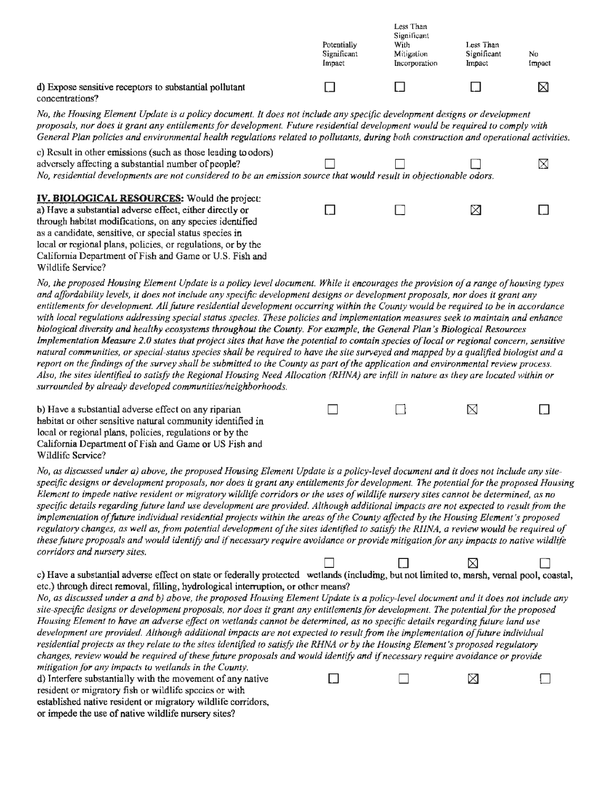|                                                                           | Potentially<br>Significant<br>Impact | Less Than<br>Significant<br>With<br>Mitigation<br>Incorporation | Less Than<br>Significant<br>Impact | No<br>Impact |
|---------------------------------------------------------------------------|--------------------------------------|-----------------------------------------------------------------|------------------------------------|--------------|
| d) Expose sensitive receptors to substantial pollutant<br>concentrations? |                                      |                                                                 |                                    | ⋉            |

concentrations?

*No, the Housing Element Update is a policy document. It does not include any specific development designs or develupment proposals, nur does* it *grant any entitlements for development. Future residential development wuuld be required tu comply with General Plan policies and environmental health regulations related to pollutants, during both construction and operational activities.* 

| c) Result in other emissions (such as those leading to odors)<br>adversely affecting a substantial number of people?<br>No, residential developments are not considered to be an emission source that would result in objectionable odors.                                                                                                                        |  | $\boxtimes$ |
|-------------------------------------------------------------------------------------------------------------------------------------------------------------------------------------------------------------------------------------------------------------------------------------------------------------------------------------------------------------------|--|-------------|
| <b>IV. BIOLOGICAL RESOURCES:</b> Would the project:<br>a) Have a substantial adverse effect, either directly or<br>through habitat modifications, on any species identified<br>as a candidate, sensitive, or special status species in<br>local or regional plans, policies, or regulations, or by the<br>California Department of Fish and Game or U.S. Fish and |  |             |
| Wildlife Service?                                                                                                                                                                                                                                                                                                                                                 |  |             |

*No, the proposed Housing Element Update is a policy level document. While it encourages the provision of a range of housing types and affordability levels, it does not include any specific development designs or development proposals, nor does it grant any entitlements for development. All future residential development occurring within the County would be required to be in accordance with local regulations addressing special status species. These policies and implementation measures seek to maintain and enhance biological diversity and healthy ecosystems throughout the County. For example, the General Plan 's Biological Resources Implementation Measure 2.0 states that project sites that have the potential to contain species of local or regional concern, sensitive* natural communities, or special-status species shall be required to have the site surveyed and mapped by a qualified hiologist and a *report on the findings of the survey shall be submitted to the County as part of the application and environmental review process. Alsu, the sites identified to satisfy the Regional Housing Need Allocation (RHNA) are infill in nature as they are located within or surrounded by already developed communities/neighborhoods.* 

 $\begin{array}{ccccccccccccccccc} \Box & & & \Box & & & \Box & & & \Box \end{array}$ 

b) Have a substantial adverse effect on any riparian habitat or other sensitive natural community identified in local or regional plans, policies, regulations or by the California Department of Fish and Game or US Fish and Wildlife Service?

No, as discussed under a) above, the proposed Housing Element Update is a policy-level document and it does not include any sitespecific designs or development proposals, nor does it grant any entitlements for development. The potential for the proposed Housing Element to impede native resident or migratory wildlife corridors or the uses of wildlife nursery sites cannot be determined, as no *specific details regarding fature land use development are provided. Although additional impacts are not expected to result from the implementation of future individual residential projects within the areas of the County affected by the Housing Element's proposed*  regulatory changes, as well as, from potential development of the sites identified to satisfy the RIINA, a review would be required of *these future proposals and would identify and if necessary require avoidance or provide mitigation for any impacts to native wildlife corridors and nursery sites.* 

• • • c) Have a substantial adverse effect on state or federally protected wetlands (including, but not limited to, marsh, vernal pool, coastal, etc.) through direct removal, filling, hydrological interruption, or other means?

*No, as discussed under a and b) above, the proposed Housing Element Update is a policy-level document and it does not include any site-specific designs or development proposals, nor does it grant any entitlements/or development. The potential fur the proposed Housing Element to have an adverse effect on wetlands cannot be determined, as no specific details regarding.future land use*  development are provided. Although additional impacts are not expected to result from the implementation of future individual *residential projects as they relate tu the sites identified to satisfy the RHNA or by the Housing Element's proposed regulatory changes, review would be required of these future proposals and would identify and if necessary require avoidance or provide mitigation for any impacts to wetlands in the County.* 

d) Interfere substantially with the movement of any native  $\Box$   $\Box$   $\Box$   $\Box$ resident or migratory fish or wildlife species or with established native resident or migratory wildlife corridors, or impede the use of native wildlife nursery sites?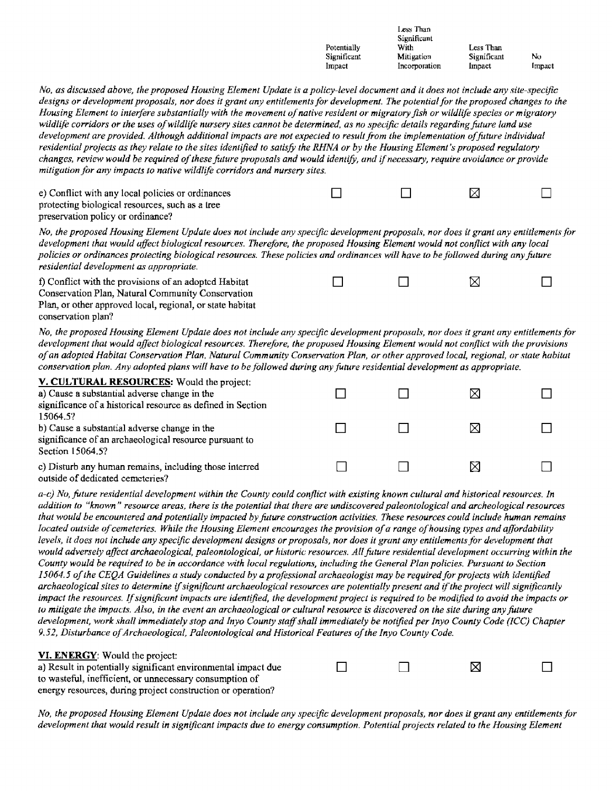|                                                                                                                                                                                                                                                                                                                                                                                                                                                                                                                                                                                                                                                                                                                                                                                                                                                                                                                                                                                                                                      | Potentially<br>Significant<br>Impact | Less Than<br>Significant<br>With<br>Mitigation<br>Incorporation | Less Than<br>Significant<br>Impact | No<br>Impact |
|--------------------------------------------------------------------------------------------------------------------------------------------------------------------------------------------------------------------------------------------------------------------------------------------------------------------------------------------------------------------------------------------------------------------------------------------------------------------------------------------------------------------------------------------------------------------------------------------------------------------------------------------------------------------------------------------------------------------------------------------------------------------------------------------------------------------------------------------------------------------------------------------------------------------------------------------------------------------------------------------------------------------------------------|--------------------------------------|-----------------------------------------------------------------|------------------------------------|--------------|
| No, as discussed above, the proposed Housing Element Update is a policy-level document and it does not include any site-specific<br>designs or development proposals, nor does it grant any entitlements for development. The potential for the proposed changes to the<br>Housing Element to interfere substantially with the movement of native resident or migratory fish or wildlife species or migratory<br>wildlife corridors or the uses of wildlife nursery sites cannot be determined, as no specific details regarding future land use<br>development are provided. Although additional impacts are not expected to result from the implementation of future individual<br>residential projects as they relate to the sites identified to satisfy the RHNA or by the Housing Element's proposed regulatory<br>changes, review would be required of these future proposals and would identify, and if necessary, require avoidance or provide<br>mitigation for any impacts to native wildlife corridors and nursery sites. |                                      |                                                                 |                                    |              |
| e) Conflict with any local policies or ordinances<br>protecting biological resources, such as a tree<br>preservation policy or ordinance?                                                                                                                                                                                                                                                                                                                                                                                                                                                                                                                                                                                                                                                                                                                                                                                                                                                                                            |                                      |                                                                 | ⊠                                  |              |
| No, the proposed Housing Element Update does not include any specific development proposals, nor does it grant any entitlements for<br>development that would affect biological resources. Therefore, the proposed Housing Element would not conflict with any local<br>policies or ordinances protecting biological resources. These policies and ordinances will have to be followed during any future<br>residential development as appropriate.                                                                                                                                                                                                                                                                                                                                                                                                                                                                                                                                                                                  |                                      |                                                                 |                                    |              |
| f) Conflict with the provisions of an adopted Habitat<br>Conservation Plan, Natural Community Conservation<br>Plan, or other approved local, regional, or state habitat<br>conservation plan?                                                                                                                                                                                                                                                                                                                                                                                                                                                                                                                                                                                                                                                                                                                                                                                                                                        |                                      |                                                                 | ⊠                                  |              |
| No, the proposed Housing Element Update does not include any specific development proposals, nor does it grant any entitlements for<br>development that would affect biological resources. Therefore, the proposed Housing Element would not conflict with the provisions<br>of an adopted Habitat Conservation Plan, Natural Community Conservation Plan, or other approved local, regional, or state habitat<br>conservation plan. Any adopted plans will have to be followed during any future residential development as appropriate.                                                                                                                                                                                                                                                                                                                                                                                                                                                                                            |                                      |                                                                 |                                    |              |
| V. CULTURAL RESOURCES: Would the project:<br>a) Cause a substantial adverse change in the<br>significance of a historical resource as defined in Section<br>15064.5?                                                                                                                                                                                                                                                                                                                                                                                                                                                                                                                                                                                                                                                                                                                                                                                                                                                                 |                                      |                                                                 | ⊠                                  |              |
| b) Cause a substantial adverse change in the<br>significance of an archaeological resource pursuant to<br>Section 15064.5?                                                                                                                                                                                                                                                                                                                                                                                                                                                                                                                                                                                                                                                                                                                                                                                                                                                                                                           |                                      |                                                                 | ⊠                                  |              |
| c) Disturb any human remains, including those interred<br>outside of dedicated cemeteries?                                                                                                                                                                                                                                                                                                                                                                                                                                                                                                                                                                                                                                                                                                                                                                                                                                                                                                                                           |                                      |                                                                 | ⊠                                  |              |
| a-c) No, future residential development within the County could conflict with existing known cultural and historical resources. In<br>addition to "known" resource areas, there is the potential that there are undiscovered paleontological and archeological resources<br>that would be encountered and potentially impacted by future construction activities. These resources could include human remains<br>located outside of cemeteries. While the Housing Element encourages the provision of a range of housing types and affordability<br>levels, it does not include any specific development designs or proposals, nor does it grant any entitlements for development that<br>would adversely affect archaeological, paleontological, or historic resources. All future residential development occurring within the                                                                                                                                                                                                     |                                      |                                                                 |                                    |              |

*County would be required to be in accordance with local regulations, including the General Plan policies. Pursuant to Section 15064.5 of the CEQA Guidelines a study conducted by a professional archaeologist may be required for projects with identified archaeological sites to determine if significant archaeological resources are potentially present and if"the project will significantly impact the resources. If significant impacts are identified, the development project is required to be modified to avoid the impacts or to mitigate the impact.\'. Also, in the event an archaeological or cultural resource is discovered on the site during any fature development, work shall immediately stop and Inyo County staff shall immediately be notified per Inyo County Code (ICC) Chapter*  9.52, Disturbance of Archaeological, Paleontological and Historical Features of the Inyo County Code.

| VI. ENERGY: Would the project:                                |  |   |  |
|---------------------------------------------------------------|--|---|--|
| a) Result in potentially significant environmental impact due |  | M |  |
| to wasteful, inefficient, or unnecessary consumption of       |  |   |  |
| energy resources, during project construction or operation?   |  |   |  |

*No, the proposed Housing Element Update does not include any .1pecific development proposals, nor does it grant any entitlements for development that would result in significant impacts due to energy consumption. Potential projects related to the Housing Element*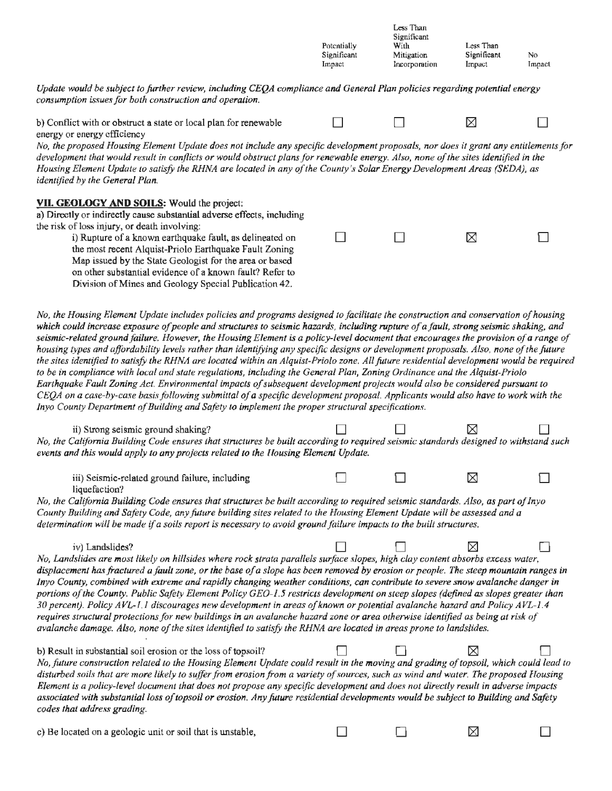*Update would be subject to farther review, including CEQA compliance and General Plan policies regarding potential energy consumption issues for both construction and operation.* 

| b) Conflict with or obstruct a state or local plan for renewable |  |  |
|------------------------------------------------------------------|--|--|
| energy or energy efficiency                                      |  |  |

*No, the proposed Housing Element Update does not include any specific development proposals, nor does it grant any entitlements for development that would result in conflicts or would obstruct plans for renewable energy. Also, none of the sites identified in the Housing Element Update to satisfy the RHNA are located in any of the County's Solar Energy Development Areas (SEDA), as identified by the General Plan.* 

Potentially Significant Impact

Less Than Significant With Mitigation Incorporation

Less Than Significant Impact

No Impact

#### **VII. GEOLOGY AND SOILS:** Would the project:

a) Directly or indirectly cause subslanlial adverse effects, including the risk of loss injury, or death involving:

> i) Rupture of a known earthquake fault, as delineated on the most recent Alquist-Priolo Earthquake Fault Zoning Map issued by the State Geologist for the area or based on other substantial evidence ofa known fault? Refer to Division of Mines and Geology Special Publication 42.

| $\Box$ and $\Box$ and $\Box$ | $\boxtimes$ | $\Box$ |
|------------------------------|-------------|--------|
|                              |             |        |

*No, the Housing Element Update includes policies and programs designed to facilitate the construction and conservation of housing which could increase exposure ofpeople and structures to seismic hazards, including rupture of a fault, strong seismic shaking, and seismic-related ground failure. However, the Housing Element is a policy-level document that encourages the provision of a range of housing types and affordability levels rather than identifying any specific designs or development proposals. Also, none of the future* the sites identified to satisfy the RHNA are located within an Alquist-Priolo zone. All future residential development would be required *to be in compliance with local and state regulations, including the General Plan, Zoning Ordinance and the Alquist-Priolo Earthquake Fault Zoning Act. Environmental impacts of subsequent development projects would also be considered pursuant to C EQA on a case-by-case basis following submittal of a specific development proposal. Applicants would also have to work with the Inyo County Department of Building and Safety to implement the proper structural specifications.* 

| ii) Strong seismic ground shaking?<br>No, the California Building Code ensures that structures be built according to required seismic standards designed to withstand such<br>events and this would apply to any projects related to the Housing Element Update.                                                                                                                                                                                                                                                                                                                                                                                                                                                                                                                                                                                                                                                                                       |  |   |  |
|--------------------------------------------------------------------------------------------------------------------------------------------------------------------------------------------------------------------------------------------------------------------------------------------------------------------------------------------------------------------------------------------------------------------------------------------------------------------------------------------------------------------------------------------------------------------------------------------------------------------------------------------------------------------------------------------------------------------------------------------------------------------------------------------------------------------------------------------------------------------------------------------------------------------------------------------------------|--|---|--|
| iii) Seismic-related ground failure, including<br>liquefaction?                                                                                                                                                                                                                                                                                                                                                                                                                                                                                                                                                                                                                                                                                                                                                                                                                                                                                        |  | ⊠ |  |
| No, the California Building Code ensures that structures be built according to required seismic standards. Also, as part of Inyo<br>County Building and Safety Code, any future building sites related to the Housing Element Update will be assessed and a<br>determination will be made if a soils report is necessary to avoid ground failure impacts to the built structures.                                                                                                                                                                                                                                                                                                                                                                                                                                                                                                                                                                      |  |   |  |
| iv) Landslides?<br>No, Landslides are most likely on hillsides where rock strata parallels surface slopes, high clay content absorbs excess water,<br>displacement has fractured a fault zone, or the base of a slope has been removed by erosion or people. The steep mountain ranges in<br>Inyo County, combined with extreme and rapidly changing weather conditions, can contribute to severe snow avalanche danger in<br>portions of the County. Public Safety Element Policy GEO-1.5 restricts development on steep slopes (defined as slopes greater than<br>30 percent). Policy AVL-1.1 discourages new development in areas of known or potential avalanche hazard and Policy AVL-1.4<br>requires structural protections for new buildings in an avalanche hazard zone or area otherwise identified as being at risk of<br>avalanche damage. Also, none of the sites identified to satisfy the RHNA are located in areas prone to landslides. |  |   |  |
| b) Result in substantial soil erosion or the loss of topsoil?<br>No, future construction related to the Housing Element Update could result in the moving and grading of topsoil, which could lead to<br>disturbed soils that are more likely to suffer from erosion from a variety of sources, such as wind and water. The proposed Housing<br>Element is a policy-level document that does not propose any specific development and does not directly result in adverse impacts<br>associated with substantial loss of topsoil or erosion. Any future residential developments would be subject to Building and Safety<br>codes that address grading.                                                                                                                                                                                                                                                                                                |  |   |  |
| c) Be located on a geologic unit or soil that is unstable,                                                                                                                                                                                                                                                                                                                                                                                                                                                                                                                                                                                                                                                                                                                                                                                                                                                                                             |  |   |  |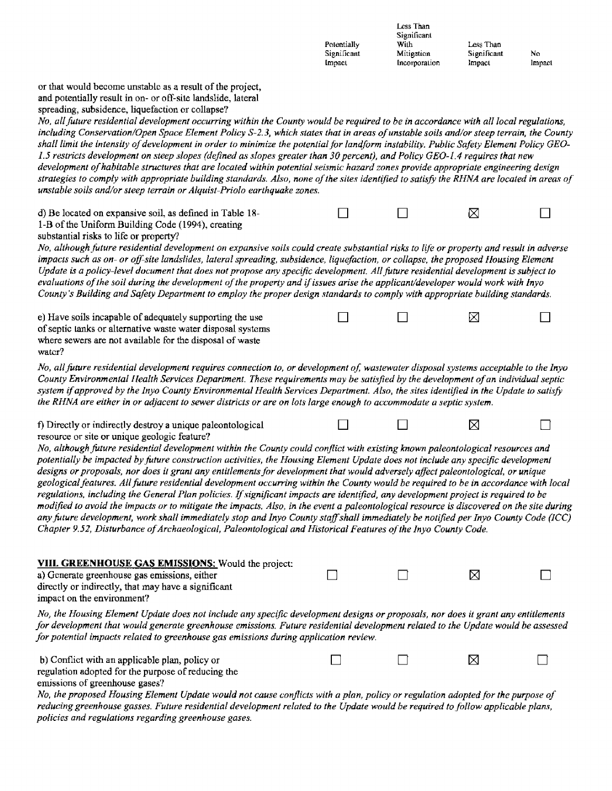|                                                                                                                                                                                                                                                                                                                                                                                                                                                                                                                                                                                                                                                                                                                                                                                                                                                                                                                                                                                                                                                                                                                                       | Potentially<br>Significant<br>Impact | Less Than<br>Significant<br>With<br>Mitigation<br>Incorporation | Less Than<br>Significant<br>Impact | No<br>Impact |
|---------------------------------------------------------------------------------------------------------------------------------------------------------------------------------------------------------------------------------------------------------------------------------------------------------------------------------------------------------------------------------------------------------------------------------------------------------------------------------------------------------------------------------------------------------------------------------------------------------------------------------------------------------------------------------------------------------------------------------------------------------------------------------------------------------------------------------------------------------------------------------------------------------------------------------------------------------------------------------------------------------------------------------------------------------------------------------------------------------------------------------------|--------------------------------------|-----------------------------------------------------------------|------------------------------------|--------------|
| or that would become unstable as a result of the project,<br>and potentially result in on- or off-site landslide, lateral<br>spreading, subsidence, liquefaction or collapse?<br>No, all future residential development occurring within the County would be required to be in accordance with all local regulations,<br>including Conservation/Open Space Element Policy S-2.3, which states that in areas of unstable soils and/or steep terrain, the County<br>shall limit the intensity of development in order to minimize the potential for landform instability. Public Safety Element Policy GEO-<br>1.5 restricts development on steep slopes (defined as slopes greater than 30 percent), and Policy GEO-1.4 requires that new<br>development of habitable structures that are located within potential seismic hazard zones provide appropriate engineering design<br>strategies to comply with appropriate building standards. Also, none of the sites identified to satisfy the RHNA are located in areas of<br>unstable soils and/or steep terrain or Alquist-Priolo earthquake zones.                                  |                                      |                                                                 |                                    |              |
| d) Be located on expansive soil, as defined in Table 18-<br>1-B of the Uniform Building Code (1994), creating<br>substantial risks to life or property?                                                                                                                                                                                                                                                                                                                                                                                                                                                                                                                                                                                                                                                                                                                                                                                                                                                                                                                                                                               |                                      |                                                                 | ⊠                                  |              |
| No, although future residential development on expansive soils could create substantial risks to life or property and result in adverse<br>impacts such as on- or off-site landslides, lateral spreading, subsidence, liquefaction, or collapse, the proposed Housing Element<br>Update is a policy-level document that does not propose any specific development. All future residential development is subject to<br>evaluations of the soil during the development of the property and if issues arise the applicant/developer would work with Inyo<br>County's Building and Safety Department to employ the proper design standards to comply with appropriate building standards.                                                                                                                                                                                                                                                                                                                                                                                                                                                |                                      |                                                                 |                                    |              |
| e) Have soils incapable of adequately supporting the use<br>of septic tanks or alternative waste water disposal systems<br>where sewers are not available for the disposal of waste<br>water?                                                                                                                                                                                                                                                                                                                                                                                                                                                                                                                                                                                                                                                                                                                                                                                                                                                                                                                                         |                                      |                                                                 | ⊠                                  |              |
| No, all future residential development requires connection to, or development of, wastewater disposal systems acceptable to the Inyo<br>County Environmental Health Services Department. These requirements may be satisfied by the development of an individual septic<br>system if approved by the Inyo County Environmental Health Services Department. Also, the sites identified in the Update to satisfy<br>the RHNA are either in or adjacent to sewer districts or are on lots large enough to accommodate a septic system.                                                                                                                                                                                                                                                                                                                                                                                                                                                                                                                                                                                                   |                                      |                                                                 |                                    |              |
| f) Directly or indirectly destroy a unique paleontological                                                                                                                                                                                                                                                                                                                                                                                                                                                                                                                                                                                                                                                                                                                                                                                                                                                                                                                                                                                                                                                                            |                                      |                                                                 | ⊠                                  |              |
| resource or site or unique geologic feature?<br>No, although future residential development within the County could conflict with existing known paleontological resources and<br>potentially be impacted by future construction activities, the Housing Element Update does not include any specific development<br>designs or proposals, nor does it grant any entitlements for development that would adversely affect paleontological, or unique<br>geological features. All future residential development occurring within the County would be required to be in accordance with local<br>regulations, including the General Plan policies. If significant impacts are identified, any development project is required to be<br>modified to avoid the impacts or to mitigate the impacts. Also, in the event a paleontological resource is discovered on the site during<br>any future development, work shall immediately stop and Inyo County staff shall immediately be notified per Inyo County Code (ICC)<br>Chapter 9.52, Disturbance of Archaeological, Paleontological and Historical Features of the Inyo County Code. |                                      |                                                                 |                                    |              |
| VIII. GREENHOUSE GAS EMISSIONS: Would the project:<br>a) Generate greenhouse gas emissions, either<br>directly or indirectly, that may have a significant<br>impact on the environment?                                                                                                                                                                                                                                                                                                                                                                                                                                                                                                                                                                                                                                                                                                                                                                                                                                                                                                                                               |                                      |                                                                 | ⊠                                  |              |
| No, the Housing Element Update does not include any specific development designs or proposals, nor does it grant any entitlements<br>for development that would generate greenhouse emissions. Future residential development related to the Update would be assessed<br>for potential impacts related to greenhouse gas emissions during application review.                                                                                                                                                                                                                                                                                                                                                                                                                                                                                                                                                                                                                                                                                                                                                                         |                                      |                                                                 |                                    |              |
| b) Conflict with an applicable plan, policy or<br>regulation adopted for the purpose of reducing the<br>emissions of greenhouse gases?                                                                                                                                                                                                                                                                                                                                                                                                                                                                                                                                                                                                                                                                                                                                                                                                                                                                                                                                                                                                |                                      |                                                                 | ⊠                                  |              |
| No, the proposed Housing Element Update would not cause conflicts with a plan, policy or regulation adopted for the purpose of<br>reducing greenhouse gasses. Future residential development related to the Update would be required to follow applicable plans,                                                                                                                                                                                                                                                                                                                                                                                                                                                                                                                                                                                                                                                                                                                                                                                                                                                                      |                                      |                                                                 |                                    |              |

*policies and regulations regarding greenhouse gases.*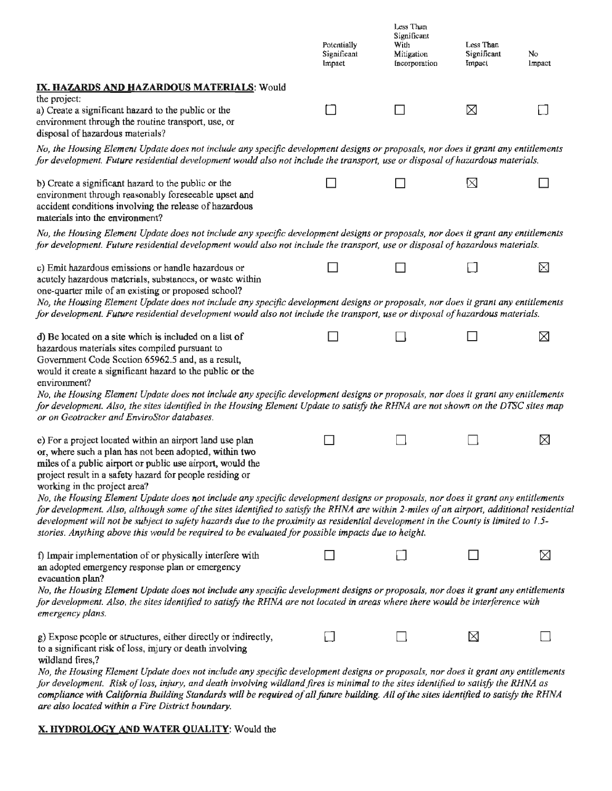|                                                                                                                                                                                                                                                                                                                                                                                                                                                                                                                                                                      | Potentially<br>Significant<br>Impact | Less Than<br>Significant<br>With<br>Mitigation<br>Incorporation | Less Than<br>Significant<br>Impact | No<br>Impact |
|----------------------------------------------------------------------------------------------------------------------------------------------------------------------------------------------------------------------------------------------------------------------------------------------------------------------------------------------------------------------------------------------------------------------------------------------------------------------------------------------------------------------------------------------------------------------|--------------------------------------|-----------------------------------------------------------------|------------------------------------|--------------|
| IX. HAZARDS AND HAZARDOUS MATERIALS: Would                                                                                                                                                                                                                                                                                                                                                                                                                                                                                                                           |                                      |                                                                 |                                    |              |
| the project:<br>a) Create a significant hazard to the public or the<br>environment through the routine transport, use, or<br>disposal of hazardous materials?                                                                                                                                                                                                                                                                                                                                                                                                        | n l                                  |                                                                 | ⊠                                  |              |
| No, the Housing Element Update does not include any specific development designs or proposals, nor does it grant any entitlements<br>for development. Future residential development would also not include the transport, use or disposal of hazardous materials.                                                                                                                                                                                                                                                                                                   |                                      |                                                                 |                                    |              |
| b) Create a significant hazard to the public or the<br>environment through reasonably foreseeable upset and<br>accident conditions involving the release of hazardous<br>materials into the environment?                                                                                                                                                                                                                                                                                                                                                             |                                      |                                                                 | ⊠                                  |              |
| No, the Housing Element Update does not include any specific development designs or proposals, nor does it grant any entitlements<br>for development. Future residential development would also not include the transport, use or disposal of hazardous materials.                                                                                                                                                                                                                                                                                                   |                                      |                                                                 |                                    |              |
| c) Emit hazardous emissions or handle hazardous or<br>acutely hazardous materials, substances, or waste within<br>one-quarter mile of an existing or proposed school?<br>No, the Housing Element Update does not include any specific development designs or proposals, nor does it grant any entitlements                                                                                                                                                                                                                                                           |                                      |                                                                 |                                    | ⊠            |
| for development. Future residential development would also not include the transport, use or disposal of hazardous materials.                                                                                                                                                                                                                                                                                                                                                                                                                                        |                                      |                                                                 |                                    |              |
| d) Be located on a site which is included on a list of<br>hazardous materials sites compiled pursuant to<br>Government Code Scction 65962.5 and, as a result,<br>would it create a significant hazard to the public or the<br>environment?<br>No, the Housing Element Update does not include any specific development designs or proposals, nor does it grant any entitlements<br>for development. Also, the sites identified in the Housing Element Update to satisfy the RHNA are not shown on the DTSC sites map<br>or on Geotracker and EnviroStor databases.   |                                      |                                                                 |                                    | ⊠            |
| e) For a project located within an airport land use plan<br>or, where such a plan has not been adopted, within two<br>miles of a public airport or public use airport, would the<br>project result in a safety hazard for people residing or<br>working in the project area?<br>No, the Housing Element Update does not include any specific development designs or proposals, nor does it grant any entitlements<br>for development. Also, although some of the sites identified to satisfy the RHNA are within 2-miles of an airport, additional residential       |                                      |                                                                 |                                    | ⊠            |
| development will not be subject to safety hazards due to the proximity as residential development in the County is limited to 1.5-<br>stories. Anything above this would be required to be evaluated for possible impacts due to height.                                                                                                                                                                                                                                                                                                                             |                                      |                                                                 |                                    |              |
| f) Impair implementation of or physically interfere with<br>an adopted emergency response plan or emergency<br>evacuation plan?<br>No, the Housing Element Update does not include any specific development designs or proposals, nor does it grant any entitlements<br>for development. Also, the sites identified to satisfy the RHNA are not located in areas where there would be interference with<br>emergency plans.                                                                                                                                          |                                      |                                                                 |                                    | ⊠            |
| g) Expose people or structures, either directly or indirectly,<br>to a significant risk of loss, injury or death involving<br>wildland fires,?<br>No, the Housing Element Update does not include any specific development designs or proposals, nor does it grant any entitlements<br>for development. Risk of loss, injury, and death involving wildland fires is minimal to the sites identified to satisfy the RHNA as<br>compliance with California Building Standards will be required of all future building. All of the sites identified to satisfy the RHNA |                                      |                                                                 | ⊠                                  |              |

*are also located within a Fire District boundary.* 

### **X. HYDROLOGY AND WATER QUALITY:** Would the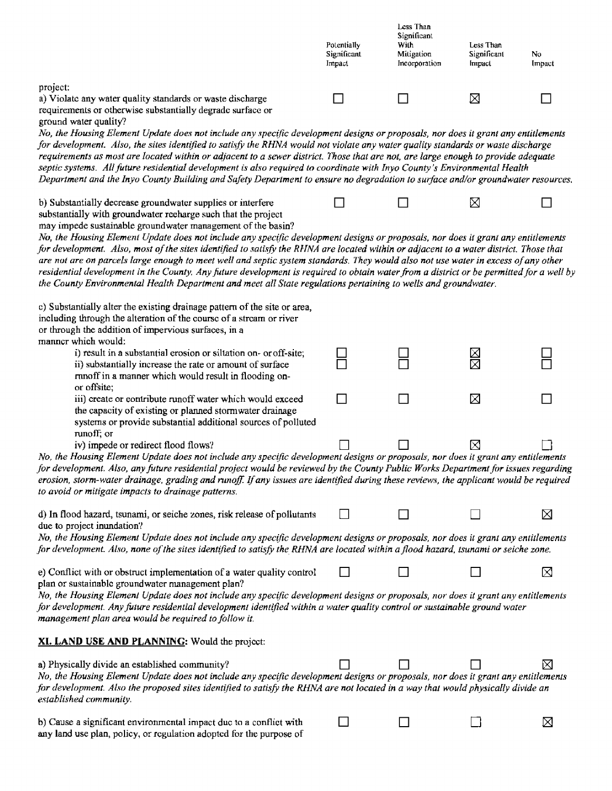|                                                                                                                                                                                                                                                                                                                                                                                                                                                                                                                                                                                                                                                                                | Potentially<br>Significant<br>Impact | Less Than<br>Significant<br>With<br>Mitigation<br>Incorporation | Less Than<br>Significant<br>Impact | No<br>Impact |
|--------------------------------------------------------------------------------------------------------------------------------------------------------------------------------------------------------------------------------------------------------------------------------------------------------------------------------------------------------------------------------------------------------------------------------------------------------------------------------------------------------------------------------------------------------------------------------------------------------------------------------------------------------------------------------|--------------------------------------|-----------------------------------------------------------------|------------------------------------|--------------|
| project:<br>a) Violate any water quality standards or waste discharge<br>requirements or otherwise substantially degrade surface or<br>ground water quality?                                                                                                                                                                                                                                                                                                                                                                                                                                                                                                                   |                                      |                                                                 | ⊠                                  |              |
| No, the Housing Element Update does not include any specific development designs or proposals, nor does it grant any entitlements<br>for development. Also, the sites identified to satisfy the RHNA would not violate any water quality standards or waste discharge<br>requirements as most are located within or adjacent to a sewer district. Those that are not, are large enough to provide adequate<br>septic systems. All future residential development is also required to coordinate with Inyo County's Environmental Health<br>Department and the Inyo County Building and Safety Department to ensure no degradation to surface and/or groundwater resources.     |                                      |                                                                 |                                    |              |
| b) Substantially decrease groundwater supplies or interfere<br>substantially with groundwater recharge such that the project<br>may impede sustainable groundwater management of the basin?                                                                                                                                                                                                                                                                                                                                                                                                                                                                                    |                                      |                                                                 | Χ                                  |              |
| No, the Housing Element Update does not include any specific development designs or proposals, nor does it grant any entitlements<br>for development. Also, most of the sites identified to satisfy the RHNA are located within or adjacent to a water district. Those that<br>are not are on parcels large enough to meet well and septic system standards. They would also not use water in excess of any other<br>residential development in the County. Any future development is required to obtain water from a district or be permitted for a well by<br>the County Environmental Health Department and meet all State regulations pertaining to wells and groundwater. |                                      |                                                                 |                                    |              |
| c) Substantially alter the existing drainage pattern of the site or area,<br>including through the alteration of the course of a stream or river<br>or through the addition of impervious surfaces, in a<br>manner which would:                                                                                                                                                                                                                                                                                                                                                                                                                                                |                                      |                                                                 |                                    |              |
| i) result in a substantial erosion or siltation on- or off-site;<br>ii) substantially increase the rate or amount of surface<br>mnoff in a manner which would result in flooding on-<br>or offsite;                                                                                                                                                                                                                                                                                                                                                                                                                                                                            |                                      |                                                                 | X                                  |              |
| iii) create or contribute runoff water which would exceed<br>the capacity of existing or planned stormwater drainage<br>systems or provide substantial additional sources of polluted<br>runoff; or                                                                                                                                                                                                                                                                                                                                                                                                                                                                            |                                      |                                                                 | X                                  |              |
| iv) impede or redirect flood flows?<br>No, the Housing Element Update does not include any specific development designs or proposals, nor does it grant any entitlements<br>for development. Also, any future residential project would be reviewed by the County Public Works Department for issues regarding<br>erosion, storm-water drainage, grading and runoff. If any issues are identified during these reviews, the applicant would be required<br>to avoid or mitigate impacts to drainage patterns.                                                                                                                                                                  |                                      |                                                                 | K                                  |              |
| d) In flood hazard, tsunami, or seiche zones, risk release of pollutants<br>due to project inundation?<br>No, the Housing Element Update does not include any specific development designs or proposals, nor does it grant any entitlements<br>for development. Also, none of the sites identified to satisfy the RHNA are located within a flood hazard, tsunami or seiche zone.                                                                                                                                                                                                                                                                                              |                                      |                                                                 |                                    | X            |
| e) Conflict with or obstruct implementation of a water quality control<br>plan or sustainable groundwater management plan?                                                                                                                                                                                                                                                                                                                                                                                                                                                                                                                                                     |                                      |                                                                 |                                    | 区            |
| No, the Housing Element Update does not include any specific development designs or proposals, nor does it grant any entitlements<br>for development. Any future residential development identified within a water quality control or sustainable ground water<br>management plan area would be required to follow it.                                                                                                                                                                                                                                                                                                                                                         |                                      |                                                                 |                                    |              |
| <b>XI. LAND USE AND PLANNING:</b> Would the project:                                                                                                                                                                                                                                                                                                                                                                                                                                                                                                                                                                                                                           |                                      |                                                                 |                                    |              |
| a) Physically divide an established community?<br>No, the Housing Element Update does not include any specific development designs or proposals, nor does it grant any entitlements<br>for development. Also the proposed sites identified to satisfy the RHNA are not located in a way that would physically divide an<br>established community.                                                                                                                                                                                                                                                                                                                              |                                      |                                                                 |                                    | ⊠            |
| b) Cause a significant environmental impact due to a conflict with<br>any land use plan, policy, or regulation adopted for the purpose of                                                                                                                                                                                                                                                                                                                                                                                                                                                                                                                                      |                                      |                                                                 |                                    | ⊠            |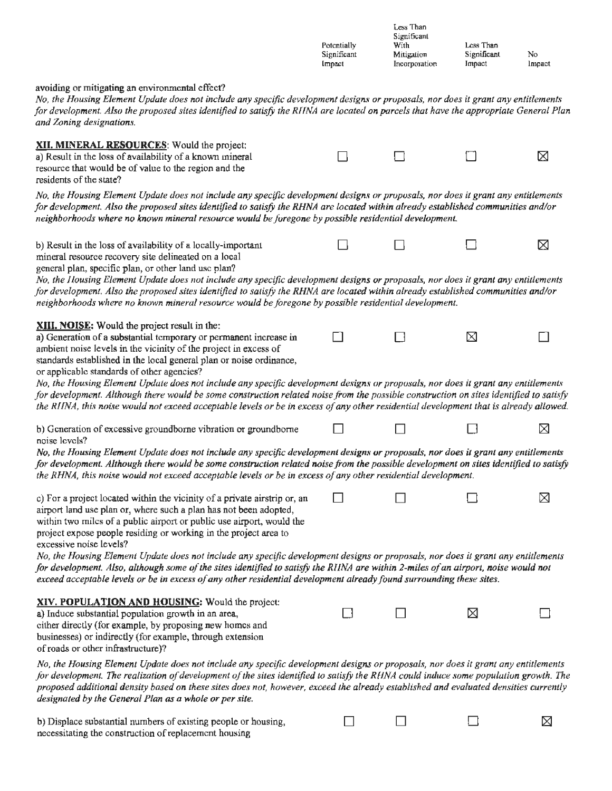|                                                                                                                                                                                                                                                                                                                                                                                                                                                                             | Potentially<br>Significant<br>Impact | Less Than<br>Significant<br>With<br>Mitigation<br>Incorporation | Less Than<br>Significant<br>Impact | No<br>Impact |
|-----------------------------------------------------------------------------------------------------------------------------------------------------------------------------------------------------------------------------------------------------------------------------------------------------------------------------------------------------------------------------------------------------------------------------------------------------------------------------|--------------------------------------|-----------------------------------------------------------------|------------------------------------|--------------|
| avoiding or mitigating an environmental effect?<br>No, the Housing Element Update does not include any specific development designs or proposals, nor does it grant any entitlements<br>for development. Also the proposed sites identified to satisfy the RHNA are located on parcels that have the appropriate General Plan<br>and Zoning designations.                                                                                                                   |                                      |                                                                 |                                    |              |
| XII. MINERAL RESOURCES: Would the project:<br>a) Result in the loss of availability of a known mineral<br>resource that would be of value to the region and the<br>residents of the state?                                                                                                                                                                                                                                                                                  |                                      |                                                                 |                                    | ⊠            |
| No, the Housing Element Update does not include any specific development designs or proposals, nor does it grant any entitlements<br>for development. Also the proposed sites identified to satisfy the RHNA are located within already established communities and/or<br>neighborhoods where no known mineral resource would be foregone by possible residential development.                                                                                              |                                      |                                                                 |                                    |              |
| b) Result in the loss of availability of a locally-important<br>mineral resource recovery site delineated on a local                                                                                                                                                                                                                                                                                                                                                        |                                      |                                                                 |                                    | ⊠            |
| general plan, specific plan, or other land use plan?<br>No, the Housing Element Update does not include any specific development designs or proposals, nor does it grant any entitlements<br>for development. Also the proposed sites identified to satisfy the RHNA are located within already established communities and/or<br>neighborhoods where no known mineral resource would be foregone by possible residential development.                                      |                                      |                                                                 |                                    |              |
| XIII. NOISE: Would the project result in the:<br>a) Generation of a substantial temporary or permanent increase in<br>ambient noise levels in the vicinity of the project in excess of<br>standards established in the local general plan or noise ordinance,<br>or applicable standards of other agencies?<br>No, the Housing Element Update does not include any specific development designs or proposals, nor does it grant any entitlements                            |                                      |                                                                 | ⊠                                  |              |
| for development. Although there would be some construction related noise from the possible construction on sites identified to satisfy<br>the RHNA, this noise would not exceed acceptable levels or be in excess of any other residential development that is already allowed.                                                                                                                                                                                             |                                      |                                                                 |                                    |              |
| b) Generation of excessive groundborne vibration or groundborne<br>noise levels?                                                                                                                                                                                                                                                                                                                                                                                            |                                      |                                                                 |                                    | ⊠            |
| No, the Housing Element Update does not include any specific development designs or proposals, nor does it grant any entitlements<br>for development. Although there would be some construction related noise from the possible development on sites identified to satisfy<br>the RHNA, this noise would not exceed acceptable levels or be in excess of any other residential development.                                                                                 |                                      |                                                                 |                                    |              |
| c) For a project located within the vicinity of a private airstrip or, an<br>airport land use plan or, where such a plan has not been adopted,<br>within two miles of a public airport or public use airport, would the<br>project expose people residing or working in the project area to<br>excessive noise levels?                                                                                                                                                      |                                      |                                                                 |                                    | ⊠            |
| No, the Housing Element Update does not include any specific development designs or proposals, nor does it grant any entitlements<br>for development. Also, although some of the sites identified to satisfy the RHNA are within 2-miles of an airport, noise would not<br>exceed acceptable levels or be in excess of any other residential development already found surrounding these sites.                                                                             |                                      |                                                                 |                                    |              |
| XIV. POPULATION AND HOUSING: Would the project:<br>a) Induce substantial population growth in an area,<br>cither directly (for example, by proposing new homes and<br>businesses) or indirectly (for example, through extension<br>of roads or other infrastructure)?                                                                                                                                                                                                       |                                      |                                                                 | ⊠                                  |              |
| No, the Housing Element Update does not include any specific development designs or proposals, nor does it grant any entitlements<br>for development. The realization of development of the sites identified to satisfy the RHNA could induce some population growth. The<br>proposed additional density based on these sites does not, however, exceed the already established and evaluated densities currently<br>designated by the General Plan as a whole or per site. |                                      |                                                                 |                                    |              |
| b) Displace substantial numbers of existing people or housing,<br>necessitating the construction of replacement housing                                                                                                                                                                                                                                                                                                                                                     |                                      |                                                                 |                                    | ⊠            |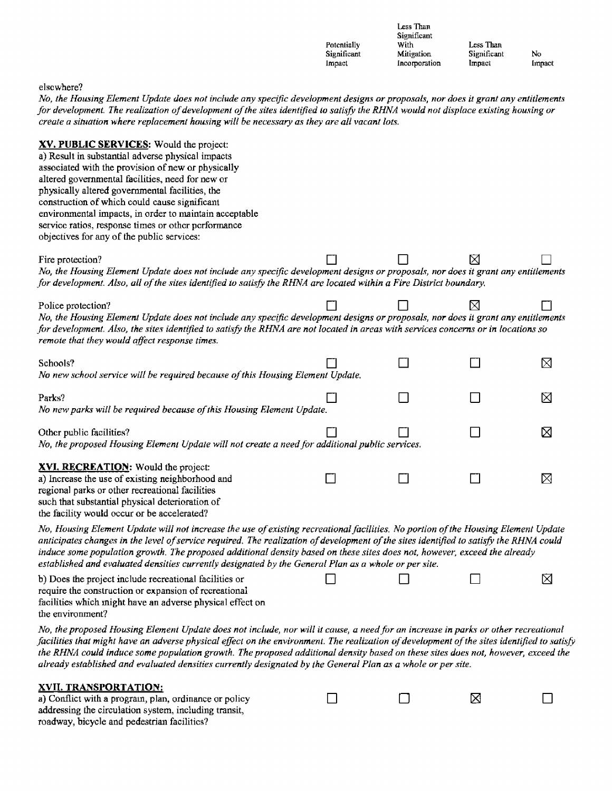|                                                                                                                                                                                                                                                                                                                                                                                                                                                                                                                   | Potentially<br>Significant<br>Impact | Less Than<br>Significant<br>With<br>Mitigation<br>Incorporation | Less Than<br>Significant<br>Impact | No.<br>Impact |
|-------------------------------------------------------------------------------------------------------------------------------------------------------------------------------------------------------------------------------------------------------------------------------------------------------------------------------------------------------------------------------------------------------------------------------------------------------------------------------------------------------------------|--------------------------------------|-----------------------------------------------------------------|------------------------------------|---------------|
| elscwhere?<br>No, the Housing Element Update does not include any specific development designs or proposals, nor does it grant any entitlements<br>for development. The realization of development of the sites identified to satisfy the RHNA would not displace existing housing or<br>create a situation where replacement housing will be necessary as they are all vacant lots.                                                                                                                              |                                      |                                                                 |                                    |               |
| XV. PUBLIC SERVICES: Would the project:<br>a) Result in substantial adverse physical impacts<br>associated with the provision of new or physically<br>altered governmental facilities, need for new or<br>physically altered governmental facilities, the<br>construction of which could cause significant<br>environmental impacts, in order to maintain acceptable<br>service ratios, response times or other performance<br>objectives for any of the public services:                                         |                                      |                                                                 |                                    |               |
| Fire protection?<br>No, the Housing Element Update does not include any specific development designs or proposals, nor does it grant any entitlements<br>for development. Also, all of the sites identified to satisfy the RHNA are located within a Fire District boundary.                                                                                                                                                                                                                                      |                                      |                                                                 | ⊠                                  |               |
| Police protection?<br>No, the Housing Element Update does not include any specific development designs or proposals, nor does it grant any entitlements<br>for development. Also, the sites identified to satisfy the RHNA are not located in areas with services concerns or in locations so<br>remote that they would affect response times.                                                                                                                                                                    |                                      |                                                                 | ⊠                                  |               |
| Schools?<br>No new school service will be required because of this Housing Element Update.                                                                                                                                                                                                                                                                                                                                                                                                                        |                                      |                                                                 |                                    | ⊠             |
| Parks?<br>No new parks will be required because of this Housing Element Update.                                                                                                                                                                                                                                                                                                                                                                                                                                   |                                      |                                                                 |                                    | ⊠             |
| Other public facilities?<br>No, the proposed Housing Element Update will not create a need for additional public services.                                                                                                                                                                                                                                                                                                                                                                                        |                                      |                                                                 |                                    | ⊠             |
| XVI. RECREATION: Would the project:<br>a) Increase the use of existing neighborhood and<br>regional parks or other recreational facilities<br>such that substantial physical deterioration of<br>the facility would occur or be accelerated?                                                                                                                                                                                                                                                                      |                                      |                                                                 |                                    | ⊠             |
| No, Housing Element Update will not increase the use of existing recreational facilities. No portion of the Housing Element Update<br>anticipates changes in the level of service required. The realization of development of the sites identified to satisfy the RHNA could<br>induce some population growth. The proposed additional density based on these sites does not, however, exceed the already<br>established and evaluated densities currently designated by the General Plan as a whole or per site. |                                      |                                                                 |                                    |               |
| b) Does the project include recreational facilities or<br>require the construction or expansion of recreational<br>facilities which might have an adverse physical effect on<br>the environment?                                                                                                                                                                                                                                                                                                                  |                                      |                                                                 |                                    | X             |
| No, the proposed Housing Element Update does not include, nor will it cause, a need for an increase in parks or other recreational                                                                                                                                                                                                                                                                                                                                                                                |                                      |                                                                 |                                    |               |

*facilities that might have an adverse physical effect on the environment. The realization of development of the sites identified to satisfy the RHNA could induce some population growth. The proposed additional density based on these sites does not, however, exceed the already established and evaluated densities currently designated by the General Plan as a whole or per site.* 

• • •

#### **XVII. TRANSPORTATION:**

a) Conflict with a program, plan, ordinance or policy addressing the circulation system, including transit, roadway, bicycle and pedestrian facilities?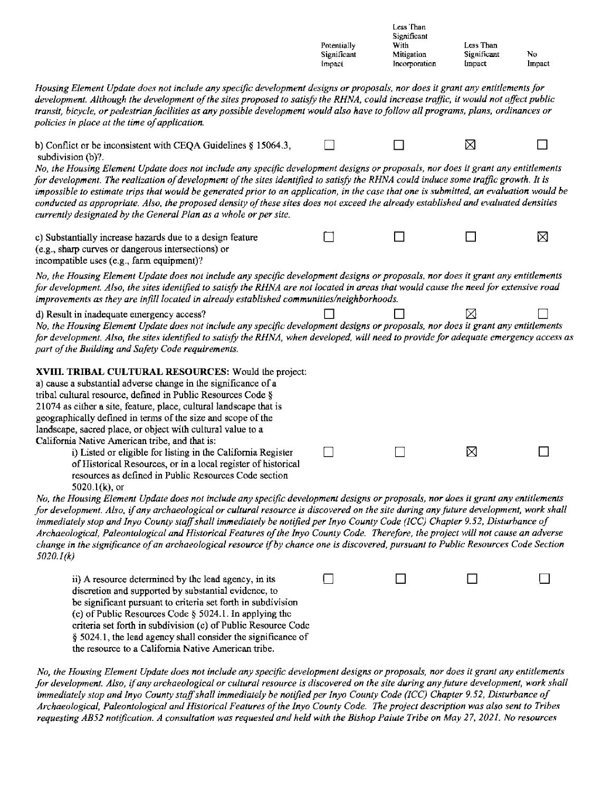|                                                                                                                                                                                                                                                                                                                                                                                                                                                                                                                                                                                                                                                                                                                          | Potentially<br>Significant<br>Impact | Less Than<br>Significant<br>With<br>Mitigation<br>Incorporation | Less Than<br>Significant<br>Impact | No.<br>Impact |
|--------------------------------------------------------------------------------------------------------------------------------------------------------------------------------------------------------------------------------------------------------------------------------------------------------------------------------------------------------------------------------------------------------------------------------------------------------------------------------------------------------------------------------------------------------------------------------------------------------------------------------------------------------------------------------------------------------------------------|--------------------------------------|-----------------------------------------------------------------|------------------------------------|---------------|
| Housing Element Update does not include any specific development designs or proposals, nor does it grant any entitlements for<br>development. Although the development of the sites proposed to satisfy the RHNA, could increase traffic, it would not affect public<br>transit, bicycle, or pedestrian facilities as any possible development would also have to follow all programs, plans, ordinances or<br>policies in place at the time of application.                                                                                                                                                                                                                                                             |                                      |                                                                 |                                    |               |
| b) Conflict or be inconsistent with CEQA Guidelines $\S$ 15064.3,<br>subdivision (b)?.<br>No, the Housing Element Update does not include any specific development designs or proposals, nor does it grant any entitlements<br>for development. The realization of development of the sites identified to satisfy the RHNA could induce some traffic growth. It is<br>impossible to estimate trips that would be generated prior to an application, in the case that one is submitted, an evaluation would be<br>conducted as appropriate. Also, the proposed density of these sites does not exceed the already established and evaluated densities<br>currently designated by the General Plan as a whole or per site. |                                      |                                                                 | ⊠                                  |               |
| c) Substantially increase hazards due to a design feature<br>(e.g., sharp curves or dangerous intersections) or<br>incompatible uses (e.g., farm equipment)?                                                                                                                                                                                                                                                                                                                                                                                                                                                                                                                                                             |                                      |                                                                 |                                    | ⊠             |
| No, the Housing Element Update does not include any specific development designs or proposals, nor does it grant any entitlements<br>for development. Also, the sites identified to satisfy the RHNA are not located in areas that would cause the need for extensive road<br>improvements as they are infill located in already established communities/neighborhoods.                                                                                                                                                                                                                                                                                                                                                  |                                      |                                                                 |                                    |               |
| d) Result in inadequate emergency access?<br>No, the Housing Element Update does not include any specific development designs or proposals, nor does it grant any entitlements<br>for development. Also, the sites identified to satisfy the RHNA, when developed, will need to provide for adequate emergency access as<br>part of the Building and Safety Code requirements.                                                                                                                                                                                                                                                                                                                                           |                                      |                                                                 | Χ                                  |               |
| XVIII. TRIBAL CULTURAL RESOURCES: Would the project:<br>a) cause a substantial adverse change in the significance of a<br>tribal cultural resource, defined in Public Resources Code §<br>21074 as either a site, feature, place, cultural landscape that is<br>geographically defined in terms of the size and scope of the<br>landscape, sacred place, or object with cultural value to a<br>California Native American tribe, and that is:                                                                                                                                                                                                                                                                            |                                      |                                                                 |                                    |               |
| i) Listed or eligible for listing in the California Register<br>of Historical Resources, or in a local register of historical<br>resources as defined in Public Resources Code section<br>5020.1 $(k)$ , or                                                                                                                                                                                                                                                                                                                                                                                                                                                                                                              |                                      |                                                                 | ⊠                                  |               |
| No, the Housing Element Update does not include any specific development designs or proposals, nor does it grant any entitlements<br>for development. Also, if any archaeological or cultural resource is discovered on the site during any future development, work shall<br>immediately stop and Inyo County staff shall immediately be notified per Inyo County Code (ICC) Chapter 9.52, Disturbance of<br>Archaeological, Paleontological and Historical Features of the Inyo County Code. Therefore, the project will not cause an adverse<br>change in the significance of an archaeological resource if by chance one is discovered, pursuant to Public Resources Code Section<br>5020.1(k)                       |                                      |                                                                 |                                    |               |
| ii) A resource determined by the lead agency, in its<br>discretion and supported by substantial evidence, to<br>be significant pursuant to criteria set forth in subdivision<br>(c) of Public Resources Code $\S$ 5024.1. In applying the<br>criteria set forth in subdivision (c) of Public Resource Code<br>§ 5024.1, the lead agency shall consider the significance of<br>the resource to a California Native American tribe.                                                                                                                                                                                                                                                                                        |                                      |                                                                 |                                    |               |

*No, the Housing Element Update does not include any specific development designs or proposals, nor does* it *grant any entitlements for development. Also,* if *any archaeological or cultural resource is discovered on the site during any fature development, work shall immediately stop and Inyo County staff shall immediately be notified per Inyo County Code (ICC) Chapter 9. 52, Disturbance of*  Archaeological, Paleontological and Historical Features of the Inyo County Code. The project description was also sent to Tribes *requesting AB52 notification. A consultation was requested and held with the Bishop Paiute Tribe on May 2* 7, *202 I. No resources*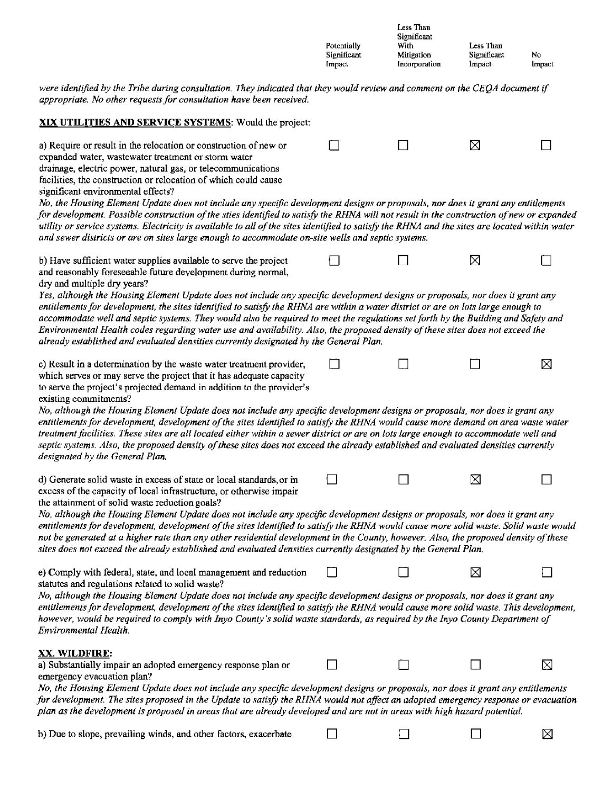|             | Less Than     |             |        |
|-------------|---------------|-------------|--------|
|             | Significant   |             |        |
| Potentially | With          | Less Than   |        |
| Significant | Mitigation    | Significant | No     |
| Impact      | Incorporation | Impact      | Impact |

⊠

were identified by the Tribe during consultation. They indicated that they would review and comment on the CEQA document if *appropriate. No other requests for consultation have been received.* 

#### **XIX UTILITIES AND SERVICE SYSTEMS:** Would the project

a) Require or result in the relocation or construction of new or  $\Box$   $\Box$   $\Box$   $\boxtimes$   $\Box$ expanded water, wastewater treatment or storm water drainage, electric power, natural gas, or telecommunications facilities, the construction or relocation of which could cause significant environmental effects?

*No, the Housing Element Update does not include any specific development designs or proposals, nor does it grant any entitlements for development. Possible construction of the sties identified to satisfy the RHNA will not result in the construction of new or expanded utility or service systems. Electricity is available to all of the sites identified to satisfy the RHNA and the sites are located within water and sewer districts or are on sites large enough to accommodate on-site wells and septic systems.* 

b) Have sufficient water supplies available to serve the project  $\Box$   $\Box$   $\Box$   $\Box$ and reasonably foreseeable future development during normal,

dry and multiple dry years? *Yes, although the Housing Element Update does not include any specific dewlopment designs or proposals, nor does it grant any entitlements for development, the sites identified to satisfy the RHNA are within a water district or are on lots large enough to*  accommodate well and septic systems. They would also be required to meet the regulations set forth by the Building and Safety and *Environmental Health codes regarding water use and availability. Also, the proposed density of these sites does not exceed the already established and evaluated densities currently designated by the General Plan.* 

c) Result in a determination by the waste water treatment provider,  $\Box$ which serves or may serve the project that it has adequate capacity to serve the project's projected demand in addition to the provider's

existing commitments?

*No, although the Housing Element Update does not include any specific development designs or proposals, nor does it grant any entitlements for development, development of the sites identified to satisfy the RHNA would cause more demand on area waste water treatment facilities. These sites are all located either within a sewer district or are on lots large enough to accommodate well and*  septic systems. Also, the proposed density of these sites does not exceed the already established and evaluated densities currently *designated by the General Plan.* 

| d) Generate solid waste in excess of state or local standards, or m |  |  |
|---------------------------------------------------------------------|--|--|
| excess of the capacity of local infrastructure, or otherwise impair |  |  |
| the attainment of solid waste reduction goals?                      |  |  |

*No, a/ihough the Housing Element Update does not include any specific development designs or proposals, nor does it grant any entitlements for development, development of the sites identified to satisfy the RHNA would cause more solid waste. Solid waste would not be generated at a higher rate than any other residential development in the County, however. Also, the proposed density of these sites does not exceed the already established and evaluated densities currently designated by the General Plan.* 

e) Comply with federal, state, and local management and reduction  $\Box$ statutes and regulations related to solid waste?

*No, although the Housing Element Update does not include any specific development designs or proposals, nor does it grant any entitlements for development, development of the sites identified to satisfy the RHNA would cause more solid waste. This development, however, would be required to comply with Inyo County's solid waste standards, as required by the Inyo County Department of Environmental Health.* 

#### **XX. WILDFIRE:**

| a) Substantially impair an adopted emergency response plan or                                                                      |  |  |
|------------------------------------------------------------------------------------------------------------------------------------|--|--|
| emergency evacuation plan?                                                                                                         |  |  |
| No, the Housing Element Update does not include any specific development designs or proposals, nor does it grant any entitlements  |  |  |
| for development. The sites proposed in the Update to satisfy the RHNA would not affect an adopted emergency response or evacuation |  |  |

*plan as the development is proposed in areas that are already developed and are not in areas with high hazard potential.* 

b) Due to slope, prevailing winds, and other factors, exacerbate  $\Box$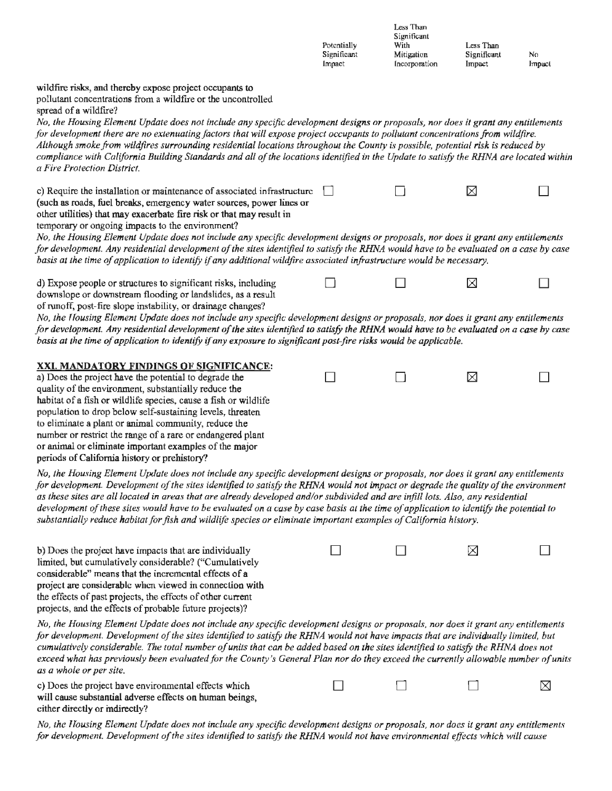|                                                                                                                                                                                                                                                                                                                                                                                                                                                                                                                                                                                                                                                                                                                                     | Potentially<br>Significant<br>Impact | Less Than<br>Significant<br>With<br>Mitigation<br>Incorporation | Less Than<br>Significant<br>Impact | No<br>Impact |  |
|-------------------------------------------------------------------------------------------------------------------------------------------------------------------------------------------------------------------------------------------------------------------------------------------------------------------------------------------------------------------------------------------------------------------------------------------------------------------------------------------------------------------------------------------------------------------------------------------------------------------------------------------------------------------------------------------------------------------------------------|--------------------------------------|-----------------------------------------------------------------|------------------------------------|--------------|--|
| wildfire risks, and thereby expose project occupants to<br>pollutant concentrations from a wildfire or the uncontrolled<br>spread of a wildfire?<br>No, the Housing Element Update does not include any specific development designs or proposals, nor does it grant any entitlements<br>for development there are no extenuating factors that will expose project occupants to pollutant concentrations from wildfire.<br>Although smoke from wildfires surrounding residential locations throughout the County is possible, potential risk is reduced by<br>compliance with California Building Standards and all of the locations identified in the Update to satisfy the RHNA are located within<br>a Fire Protection District. |                                      |                                                                 |                                    |              |  |
| c) Require the installation or maintenance of associated infrastructure<br>(such as roads, fuel breaks, emergency water sources, power lines or<br>other utilities) that may exacerbate fire risk or that may result in<br>temporary or ongoing impacts to the environment?<br>No, the Housing Element Update does not include any specific development designs or proposals, nor does it grant any entitlements<br>for development. Any residential development of the sites identified to satisfy the RHNA would have to be evaluated on a case by case<br>basis at the time of application to identify if any additional wildfire associated infrastructure would be necessary.                                                  |                                      |                                                                 | X                                  |              |  |
| d) Expose people or structures to significant risks, including<br>downslope or downstream flooding or landslides, as a result<br>of runoff, post-fire slope instability, or drainage changes?<br>No, the Housing Element Update does not include any specific development designs or proposals, nor does it grant any entitlements<br>for development. Any residential development of the sites identified to satisfy the RHNA would have to be evaluated on a case by case<br>basis at the time of application to identify if any exposure to significant post-fire risks would be applicable.                                                                                                                                     |                                      |                                                                 | ⊠                                  |              |  |
| XXI. MANDATORY FINDINGS OF SIGNIFICANCE:<br>a) Does the project have the potential to degrade the<br>quality of the environment, substantially reduce the<br>habitat of a fish or wildlife species, cause a fish or wildlife<br>population to drop below self-sustaining levels, threaten<br>to eliminate a plant or animal community, reduce the<br>number or restrict the range of a rare or endangered plant<br>or animal or eliminate important examples of the major<br>periods of California history or prehistory?                                                                                                                                                                                                           |                                      |                                                                 | ⊠                                  |              |  |
| No, the Housing Element Update does not include any specific development designs or proposals, nor does it grant any entitlements<br>for development. Development of the sites identified to satisfy the RHNA would not impact or degrade the quality of the environment<br>as these sites are all located in areas that are already developed and/or subdivided and are infill lots. Also, any residential<br>development of these sites would have to be evaluated on a case by case basis at the time of application to identify the potential to<br>substantially reduce habitat for fish and wildlife species or eliminate important examples of California history.                                                           |                                      |                                                                 |                                    |              |  |
| b) Does the project have impacts that are individually<br>limited, but cumulatively considerable? ("Cumulatively<br>considerable" means that the incremental effects of a<br>project are considerable when viewed in connection with<br>the effects of past projects, the effects of other current<br>projects, and the effects of probable future projects)?                                                                                                                                                                                                                                                                                                                                                                       |                                      |                                                                 | ⊠                                  |              |  |
| No, the Housing Element Update does not include any specific development designs or proposals, nor does it grant any entitlements<br>for development. Development of the sites identified to satisfy the RHNA would not have impacts that are individually limited, but<br>cumulatively considerable. The total number of units that can be added based on the sites identified to satisfy the RHNA does not<br>exceed what has previously been evaluated for the County's General Plan nor do they exceed the currently allowable number of units<br>as a whole or per site.                                                                                                                                                       |                                      |                                                                 |                                    |              |  |
| c) Does the project have environmental effects which<br>will cause substantial adverse effects on human beings,<br>cither directly or indirectly?                                                                                                                                                                                                                                                                                                                                                                                                                                                                                                                                                                                   |                                      |                                                                 |                                    | ⊠            |  |

*No, the Housing Element Update does not include any specific development designs or proposals, nor does it grant any entitlements* for development. Development of the sites identified to satisfy the RHNA would not have environmental effects which will cause